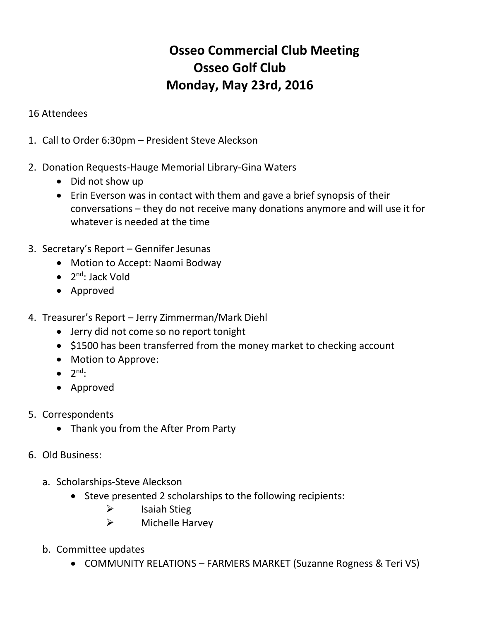## **Osseo Commercial Club Meeting Osseo Golf Club Monday, May 23rd, 2016**

## 16 Attendees

- 1. Call to Order 6:30pm President Steve Aleckson
- 2. Donation Requests-Hauge Memorial Library-Gina Waters
	- Did not show up
	- Erin Everson was in contact with them and gave a brief synopsis of their conversations – they do not receive many donations anymore and will use it for whatever is needed at the time
- 3. Secretary's Report Gennifer Jesunas
	- Motion to Accept: Naomi Bodway
	- 2<sup>nd</sup>: Jack Vold
	- Approved
- 4. Treasurer's Report Jerry Zimmerman/Mark Diehl
	- Jerry did not come so no report tonight
	- \$1500 has been transferred from the money market to checking account
	- Motion to Approve:
	- $\bullet$  2<sup>nd</sup>:
	- Approved
- 5. Correspondents
	- Thank you from the After Prom Party
- 6. Old Business:
	- a. Scholarships-Steve Aleckson
		- Steve presented 2 scholarships to the following recipients:
			- $\triangleright$  Isaiah Stieg
			- $\triangleright$  Michelle Harvey
	- b. Committee updates
		- COMMUNITY RELATIONS FARMERS MARKET (Suzanne Rogness & Teri VS)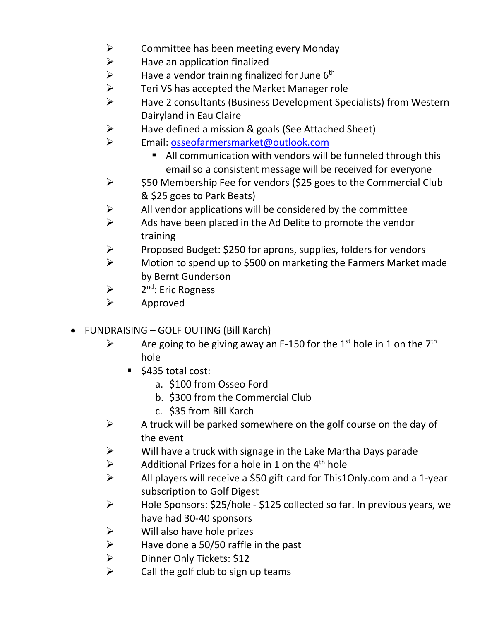- $\triangleright$  Committee has been meeting every Monday
- $\triangleright$  Have an application finalized<br> $\triangleright$  Have a vendor training finaliz
- $\triangleright$  Have a vendor training finalized for June 6<sup>th</sup>
- $\triangleright$  Teri VS has accepted the Market Manager role
- Have 2 consultants (Business Development Specialists) from Western Dairyland in Eau Claire
- $\triangleright$  Have defined a mission & goals (See Attached Sheet)
- > Email: [osseofarmersmarket@outlook.com](mailto:osseofarmersmarket@outlook.com)
	- All communication with vendors will be funneled through this email so a consistent message will be received for everyone
- $\triangleright$  \$50 Membership Fee for vendors (\$25 goes to the Commercial Club & \$25 goes to Park Beats)
- $\triangleright$  All vendor applications will be considered by the committee
- $\triangleright$  Ads have been placed in the Ad Delite to promote the vendor training
- $\triangleright$  Proposed Budget: \$250 for aprons, supplies, folders for vendors
- A Motion to spend up to \$500 on marketing the Farmers Market made by Bernt Gunderson
- $\blacktriangleright$ 2<sup>nd</sup>: Eric Rogness
- $\triangleright$  Approved
- FUNDRAISING GOLF OUTING (Bill Karch)
	- $\triangleright$  Are going to be giving away an F-150 for the 1<sup>st</sup> hole in 1 on the 7<sup>th</sup> hole
		- $\blacksquare$  \$435 total cost:
			- a. \$100 from Osseo Ford
			- b. \$300 from the Commercial Club
			- c. \$35 from Bill Karch
	- $\triangleright$  A truck will be parked somewhere on the golf course on the day of the event
	- $\triangleright$  Will have a truck with signage in the Lake Martha Days parade
	- $\triangleright$  Additional Prizes for a hole in 1 on the 4<sup>th</sup> hole
	- All players will receive a \$50 gift card for This1Only.com and a 1-year subscription to Golf Digest
	- Hole Sponsors: \$25/hole \$125 collected so far. In previous years, we have had 30-40 sponsors
	- $\triangleright$  Will also have hole prizes
	- A Have done a 50/50 raffle in the past<br>  $\geq$  Dinner Only Tickets: \$12
	- $\ge$  Dinner Only Tickets: \$12
	- Call the golf club to sign up teams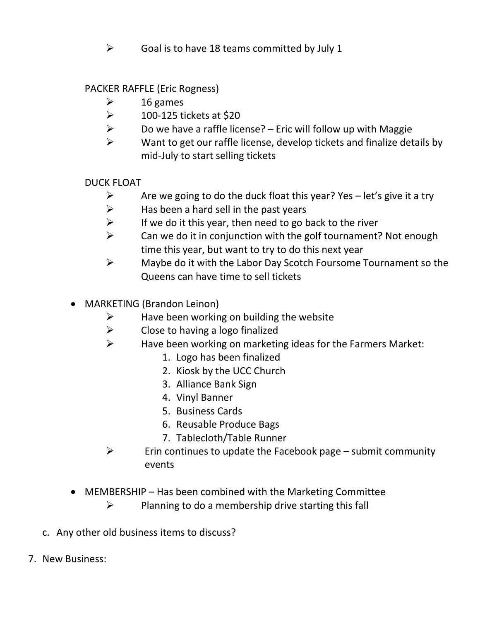$\triangleright$  Goal is to have 18 teams committed by July 1

PACKER RAFFLE (Eric Rogness)

- $\geq$  16 games
- $\geq$  100-125 tickets at \$20
- $\triangleright$  Do we have a raffle license? Eric will follow up with Maggie
- $\triangleright$  Want to get our raffle license, develop tickets and finalize details by mid-July to start selling tickets

DUCK FLOAT

- $\triangleright$  Are we going to do the duck float this year? Yes let's give it a try
- $\triangleright$  Has been a hard sell in the past years
- $\triangleright$  If we do it this year, then need to go back to the river
- $\triangleright$  Can we do it in conjunction with the golf tournament? Not enough time this year, but want to try to do this next year
- $\triangleright$  Maybe do it with the Labor Day Scotch Foursome Tournament so the Queens can have time to sell tickets
- MARKETING (Brandon Leinon)
	- $\triangleright$  Have been working on building the website
	- $\triangleright$  Close to having a logo finalized
	- $\triangleright$  Have been working on marketing ideas for the Farmers Market:
		- 1. Logo has been finalized
		- 2. Kiosk by the UCC Church
		- 3. Alliance Bank Sign
		- 4. Vinyl Banner
		- 5. Business Cards
		- 6. Reusable Produce Bags
		- 7. Tablecloth/Table Runner
	- $\triangleright$  Erin continues to update the Facebook page submit community events
- MEMBERSHIP Has been combined with the Marketing Committee
	- $\triangleright$  Planning to do a membership drive starting this fall
- c. Any other old business items to discuss?
- 7. New Business: